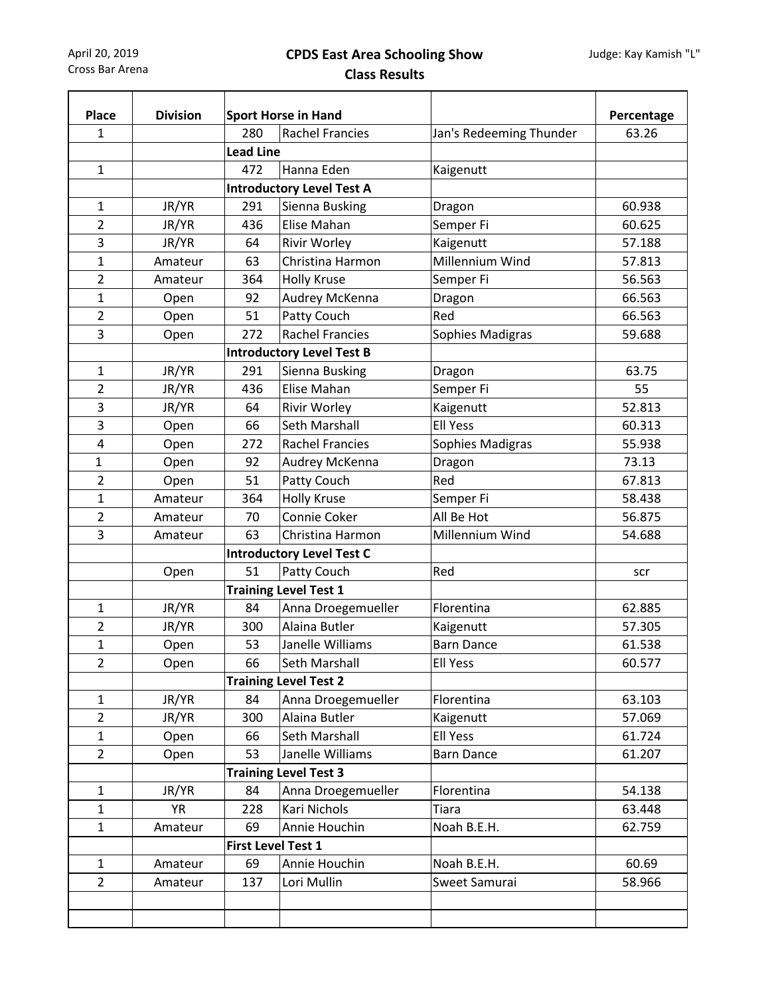April 20, 2019 Cross Bar Arena

## **CPDS East Area Schooling Show Class Results**

| <b>Place</b>   | <b>Division</b> | <b>Sport Horse in Hand</b> |                                  |                         | Percentage |  |  |
|----------------|-----------------|----------------------------|----------------------------------|-------------------------|------------|--|--|
| 1              |                 | 280                        | <b>Rachel Francies</b>           | Jan's Redeeming Thunder | 63.26      |  |  |
|                |                 | <b>Lead Line</b>           |                                  |                         |            |  |  |
| $\mathbf{1}$   |                 | 472                        | Hanna Eden                       | Kaigenutt               |            |  |  |
|                |                 |                            | <b>Introductory Level Test A</b> |                         |            |  |  |
| 1              | JR/YR           | 291                        | Sienna Busking                   | Dragon                  | 60.938     |  |  |
| $\overline{2}$ | JR/YR           | 436                        | Elise Mahan                      | Semper Fi               | 60.625     |  |  |
| 3              | JR/YR           | 64                         | <b>Rivir Worley</b>              | Kaigenutt               | 57.188     |  |  |
| $\mathbf{1}$   | Amateur         | 63                         | Christina Harmon                 | Millennium Wind         | 57.813     |  |  |
| $\overline{2}$ | Amateur         | 364                        | <b>Holly Kruse</b>               | Semper Fi               | 56.563     |  |  |
| $\mathbf{1}$   | Open            | 92                         | Audrey McKenna                   | Dragon                  | 66.563     |  |  |
| $\overline{2}$ | Open            | 51                         | Patty Couch                      | Red                     | 66.563     |  |  |
| 3              | Open            | 272                        | <b>Rachel Francies</b>           | Sophies Madigras        | 59.688     |  |  |
|                |                 |                            | <b>Introductory Level Test B</b> |                         |            |  |  |
| $\mathbf{1}$   | JR/YR           | 291                        | Sienna Busking                   | Dragon                  | 63.75      |  |  |
| $\overline{2}$ | JR/YR           | 436                        | Elise Mahan                      | Semper Fi               | 55         |  |  |
| 3              | JR/YR           | 64                         | Rivir Worley                     | Kaigenutt               | 52.813     |  |  |
| 3              | Open            | 66                         | Seth Marshall                    | <b>Ell Yess</b>         | 60.313     |  |  |
| 4              | Open            | 272                        | <b>Rachel Francies</b>           | Sophies Madigras        | 55.938     |  |  |
| $\mathbf 1$    | Open            | 92                         | Audrey McKenna                   | Dragon                  | 73.13      |  |  |
| $\overline{2}$ | Open            | 51                         | Patty Couch                      | Red                     | 67.813     |  |  |
| $\mathbf{1}$   | Amateur         | 364                        | <b>Holly Kruse</b>               | Semper Fi               | 58.438     |  |  |
| $\overline{2}$ | Amateur         | 70                         | Connie Coker                     | All Be Hot              | 56.875     |  |  |
| 3              | Amateur         | 63                         | Christina Harmon                 | Millennium Wind         | 54.688     |  |  |
|                |                 |                            | <b>Introductory Level Test C</b> |                         |            |  |  |
|                | Open            | 51                         | Patty Couch                      | Red                     | scr        |  |  |
|                |                 |                            | <b>Training Level Test 1</b>     |                         |            |  |  |
| $\mathbf{1}$   | JR/YR           | 84                         | Anna Droegemueller               | Florentina              | 62.885     |  |  |
| $\overline{2}$ | JR/YR           | 300                        | Alaina Butler                    | Kaigenutt               | 57.305     |  |  |
| 1              | Open            | 53                         | Janelle Williams                 | <b>Barn Dance</b>       | 61.538     |  |  |
| $\overline{2}$ | Open            | 66                         | Seth Marshall                    | <b>Ell Yess</b>         | 60.577     |  |  |
|                |                 |                            | <b>Training Level Test 2</b>     |                         |            |  |  |
| $\mathbf{1}$   | JR/YR           | 84                         | Anna Droegemueller               | Florentina              | 63.103     |  |  |
| $\overline{2}$ | JR/YR           | 300                        | Alaina Butler                    | Kaigenutt               | 57.069     |  |  |
| $\mathbf{1}$   | Open            | 66                         | Seth Marshall                    | <b>Ell Yess</b>         | 61.724     |  |  |
| $\overline{2}$ | Open            | 53                         | Janelle Williams                 | <b>Barn Dance</b>       | 61.207     |  |  |
|                |                 |                            | <b>Training Level Test 3</b>     |                         |            |  |  |
| $\mathbf{1}$   | JR/YR           | 84                         | Anna Droegemueller               | Florentina              | 54.138     |  |  |
| $\mathbf{1}$   | <b>YR</b>       | 228                        | Kari Nichols                     | <b>Tiara</b>            | 63.448     |  |  |
| $\mathbf{1}$   | Amateur         | 69                         | Annie Houchin                    | Noah B.E.H.             | 62.759     |  |  |
|                |                 | <b>First Level Test 1</b>  |                                  |                         |            |  |  |
| $\mathbf{1}$   | Amateur         | 69                         | Annie Houchin                    | Noah B.E.H.             | 60.69      |  |  |
| $\overline{2}$ | Amateur         | 137                        | Lori Mullin                      | Sweet Samurai           | 58.966     |  |  |
|                |                 |                            |                                  |                         |            |  |  |
|                |                 |                            |                                  |                         |            |  |  |